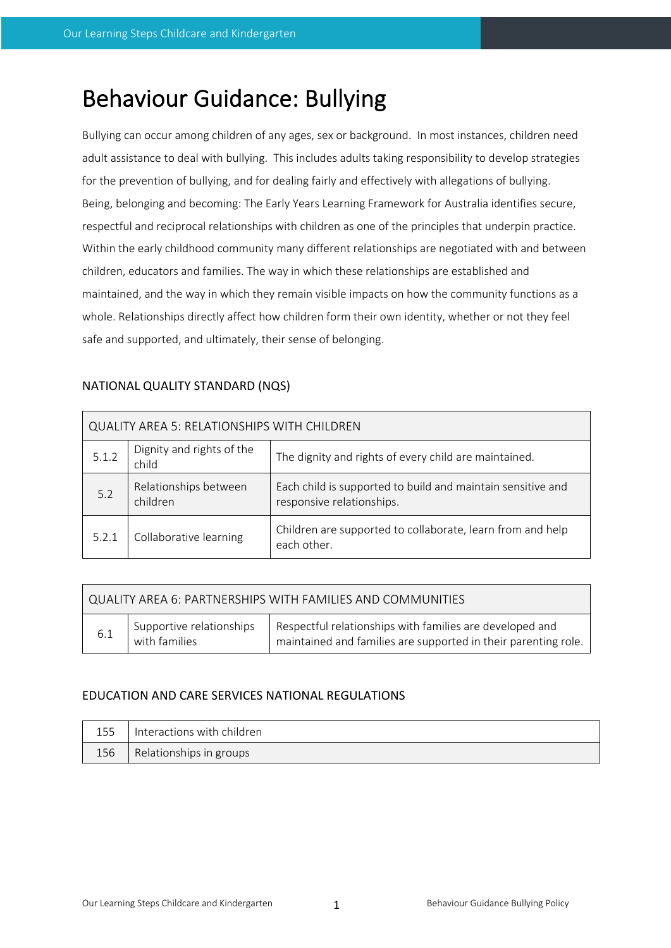# Behaviour Guidance: Bullying

Bullying can occur among children of any ages, sex or background. In most instances, children need adult assistance to deal with bullying. This includes adults taking responsibility to develop strategies for the prevention of bullying, and for dealing fairly and effectively with allegations of bullying. Being, belonging and becoming: The Early Years Learning Framework for Australia identifies secure, respectful and reciprocal relationships with children as one of the principles that underpin practice. Within the early childhood community many different relationships are negotiated with and between children, educators and families. The way in which these relationships are established and maintained, and the way in which they remain visible impacts on how the community functions as a whole. Relationships directly affect how children form their own identity, whether or not they feel safe and supported, and ultimately, their sense of belonging.

| QUALITY AREA 5: RELATIONSHIPS WITH CHILDREN |                                    |                                                                                          |  |  |  |
|---------------------------------------------|------------------------------------|------------------------------------------------------------------------------------------|--|--|--|
| 5.1.2                                       | Dignity and rights of the<br>child | The dignity and rights of every child are maintained.                                    |  |  |  |
| 5.2                                         | Relationships between<br>children  | Each child is supported to build and maintain sensitive and<br>responsive relationships. |  |  |  |
| 5.2.1                                       | Collaborative learning             | Children are supported to collaborate, learn from and help<br>each other.                |  |  |  |

# NATIONAL QUALITY STANDARD (NQS)

| QUALITY AREA 6: PARTNERSHIPS WITH FAMILIES AND COMMUNITIES |                                           |                                                                                                                              |  |  |  |
|------------------------------------------------------------|-------------------------------------------|------------------------------------------------------------------------------------------------------------------------------|--|--|--|
| 6.1                                                        | Supportive relationships<br>with families | Respectful relationships with families are developed and<br>' maintained and families are supported in their parenting role. |  |  |  |

# EDUCATION AND CARE SERVICES NATIONAL REGULATIONS

| 155 | Interactions with children |
|-----|----------------------------|
| 156 | Relationships in groups    |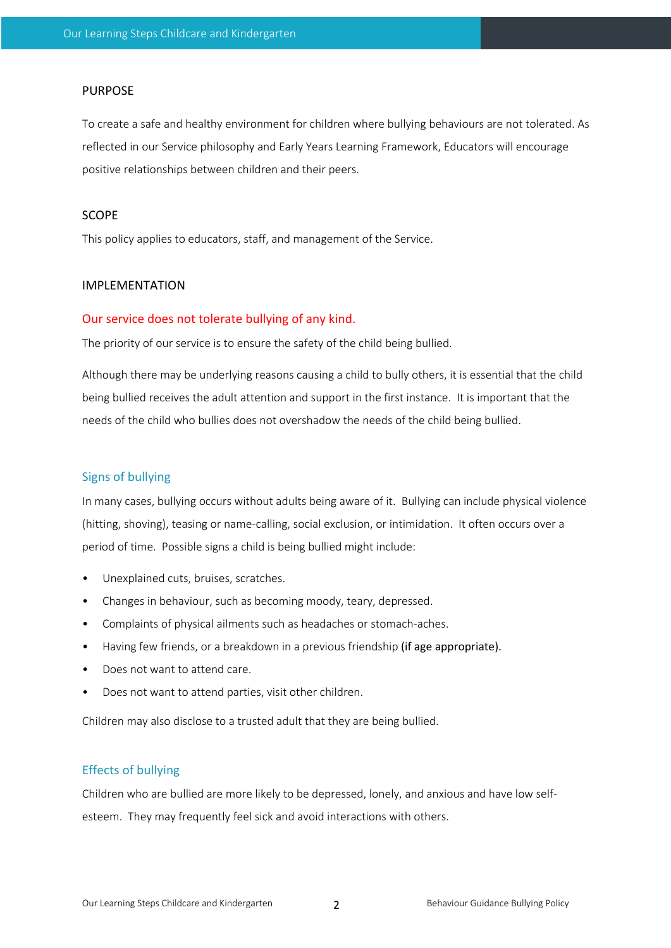#### PURPOSE

To create a safe and healthy environment for children where bullying behaviours are not tolerated. As reflected in our Service philosophy and Early Years Learning Framework, Educators will encourage positive relationships between children and their peers.

#### SCOPE

This policy applies to educators, staff, and management of the Service.

## IMPLEMENTATION

#### Our service does not tolerate bullying of any kind.

The priority of our service is to ensure the safety of the child being bullied.

Although there may be underlying reasons causing a child to bully others, it is essential that the child being bullied receives the adult attention and support in the first instance. It is important that the needs of the child who bullies does not overshadow the needs of the child being bullied.

#### Signs of bullying

In many cases, bullying occurs without adults being aware of it. Bullying can include physical violence (hitting, shoving), teasing or name-calling, social exclusion, or intimidation. It often occurs over a period of time. Possible signs a child is being bullied might include:

- Unexplained cuts, bruises, scratches.
- Changes in behaviour, such as becoming moody, teary, depressed.
- Complaints of physical ailments such as headaches or stomach-aches.
- Having few friends, or a breakdown in a previous friendship (if age appropriate).
- Does not want to attend care.
- Does not want to attend parties, visit other children.

Children may also disclose to a trusted adult that they are being bullied.

### Effects of bullying

Children who are bullied are more likely to be depressed, lonely, and anxious and have low selfesteem. They may frequently feel sick and avoid interactions with others.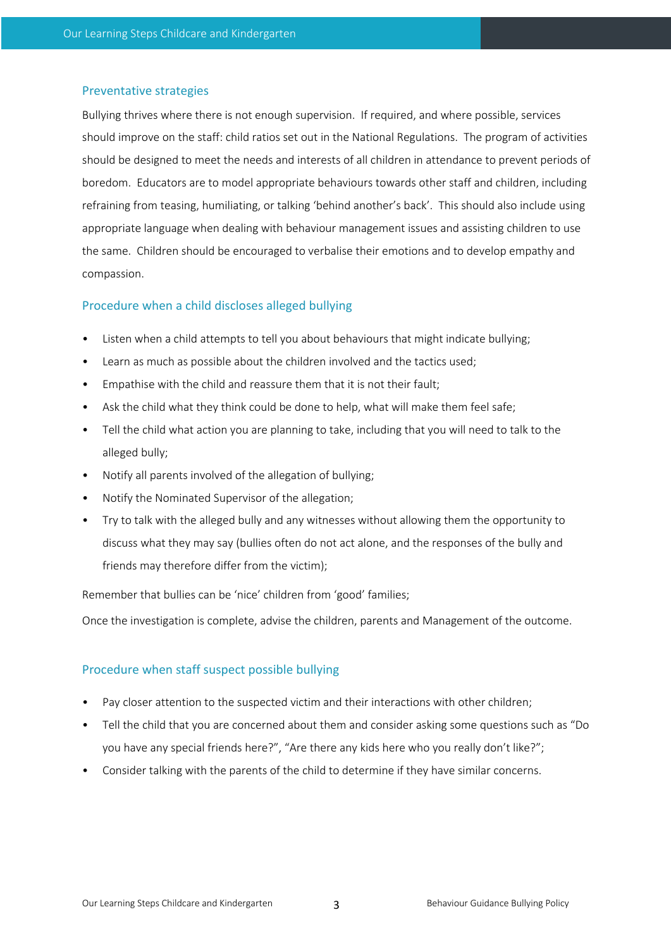#### Preventative strategies

Bullying thrives where there is not enough supervision. If required, and where possible, services should improve on the staff: child ratios set out in the National Regulations. The program of activities should be designed to meet the needs and interests of all children in attendance to prevent periods of boredom. Educators are to model appropriate behaviours towards other staff and children, including refraining from teasing, humiliating, or talking 'behind another's back'. This should also include using appropriate language when dealing with behaviour management issues and assisting children to use the same. Children should be encouraged to verbalise their emotions and to develop empathy and compassion.

#### Procedure when a child discloses alleged bullying

- Listen when a child attempts to tell you about behaviours that might indicate bullying;
- Learn as much as possible about the children involved and the tactics used;
- Empathise with the child and reassure them that it is not their fault;
- Ask the child what they think could be done to help, what will make them feel safe;
- Tell the child what action you are planning to take, including that you will need to talk to the alleged bully;
- Notify all parents involved of the allegation of bullying;
- Notify the Nominated Supervisor of the allegation;
- Try to talk with the alleged bully and any witnesses without allowing them the opportunity to discuss what they may say (bullies often do not act alone, and the responses of the bully and friends may therefore differ from the victim);

Remember that bullies can be 'nice' children from 'good' families;

Once the investigation is complete, advise the children, parents and Management of the outcome.

### Procedure when staff suspect possible bullying

- Pay closer attention to the suspected victim and their interactions with other children;
- Tell the child that you are concerned about them and consider asking some questions such as "Do you have any special friends here?", "Are there any kids here who you really don't like?";
- Consider talking with the parents of the child to determine if they have similar concerns.